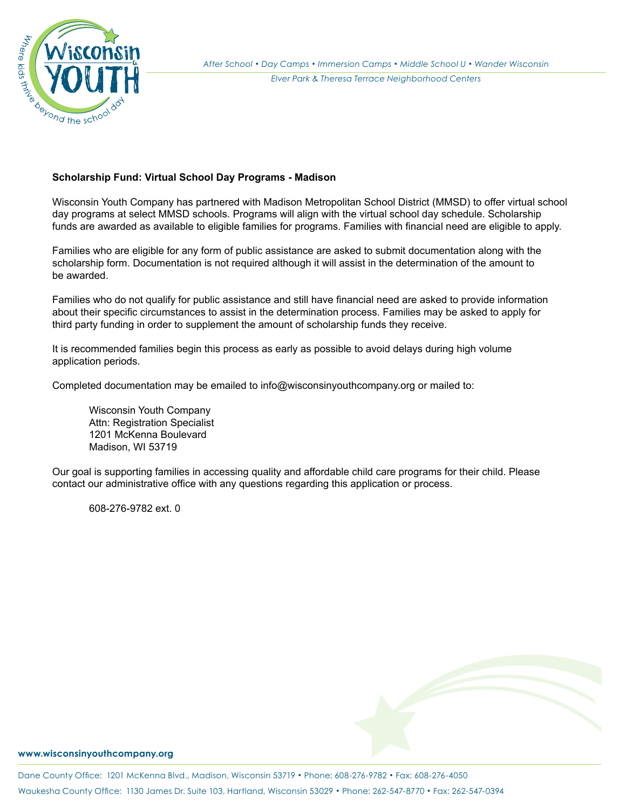

## **Scholarship Fund: Virtual School Day Programs - Madison**

Wisconsin Youth Company has partnered with Madison Metropolitan School District (MMSD) to offer virtual school day programs at select MMSD schools. Programs will align with the virtual school day schedule. Scholarship funds are awarded as available to eligible families for programs. Families with financial need are eligible to apply.

Families who are eligible for any form of public assistance are asked to submit documentation along with the scholarship form. Documentation is not required although it will assist in the determination of the amount to be awarded.

Families who do not qualify for public assistance and still have financial need are asked to provide information about their specific circumstances to assist in the determination process. Families may be asked to apply for third party funding in order to supplement the amount of scholarship funds they receive.

It is recommended families begin this process as early as possible to avoid delays during high volume application periods.

Completed documentation may be emailed to info@wisconsinyouthcompany.org or mailed to:

Wisconsin Youth Company Attn: Registration Specialist 1201 McKenna Boulevard Madison, WI 53719

Our goal is supporting families in accessing quality and affordable child care programs for their child. Please contact our administrative office with any questions regarding this application or process.

608-276-9782 ext. 0

## **www.wisconsinyouthcompany.org**

Dane County Office: 1201 McKenna Blvd., Madison, Wisconsin 53719 *•* Phone: 608-276-9782 *•* Fax: 608-276-4050 Waukesha County Office: 1130 James Dr. Suite 103, Hartland, Wisconsin 53029 *•* Phone: 262-547-8770 *•* Fax: 262-547-0394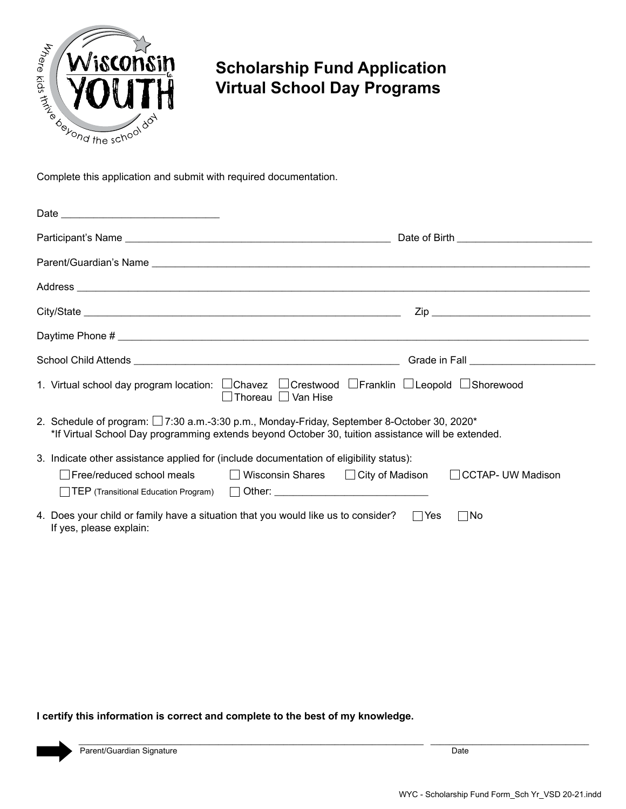

## **Scholarship Fund Application Virtual School Day Programs**

| Address <b>contract and a set of the contract of the contract of the contract of the contract of the contract of the contract of the contract of the contract of the contract of the contract of the contract of the contract of</b> |  |            |                                                          |  |  |
|--------------------------------------------------------------------------------------------------------------------------------------------------------------------------------------------------------------------------------------|--|------------|----------------------------------------------------------|--|--|
|                                                                                                                                                                                                                                      |  |            |                                                          |  |  |
| Daytime Phone #                                                                                                                                                                                                                      |  |            |                                                          |  |  |
|                                                                                                                                                                                                                                      |  |            |                                                          |  |  |
| 1. Virtual school day program location: □ Chavez □ Crestwood □ Franklin □ Leopold □ Shorewood<br>□ Thoreau □ Van Hise                                                                                                                |  |            |                                                          |  |  |
| 2. Schedule of program: 17:30 a.m.-3:30 p.m., Monday-Friday, September 8-October 30, 2020*<br>*If Virtual School Day programming extends beyond October 30, tuition assistance will be extended.                                     |  |            |                                                          |  |  |
| 3. Indicate other assistance applied for (include documentation of eligibility status):                                                                                                                                              |  |            |                                                          |  |  |
| □ Free/reduced school meals                                                                                                                                                                                                          |  |            | ■ Wisconsin Shares ■ City of Madison ■ CCTAP- UW Madison |  |  |
| 4. Does your child or family have a situation that you would like us to consider?<br>If yes, please explain:                                                                                                                         |  | $\Box$ Yes | No                                                       |  |  |

**I certify this information is correct and complete to the best of my knowledge.**